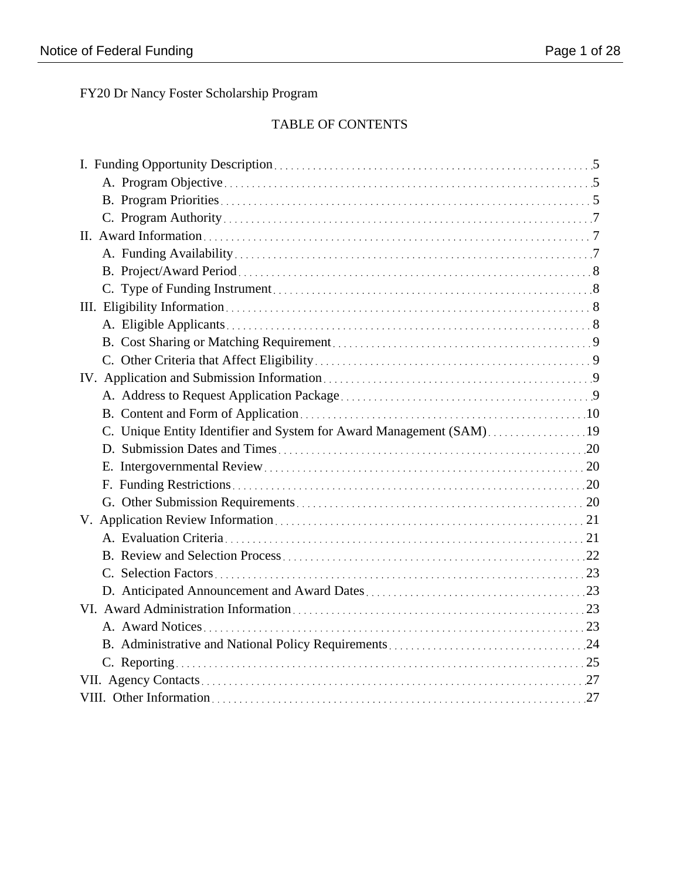FY20 Dr Nancy Foster Scholarship Program

# TABLE OF CONTENTS

| C. Unique Entity Identifier and System for Award Management (SAM)19 |  |
|---------------------------------------------------------------------|--|
|                                                                     |  |
|                                                                     |  |
|                                                                     |  |
|                                                                     |  |
|                                                                     |  |
|                                                                     |  |
|                                                                     |  |
|                                                                     |  |
|                                                                     |  |
|                                                                     |  |
|                                                                     |  |
|                                                                     |  |
|                                                                     |  |
|                                                                     |  |
|                                                                     |  |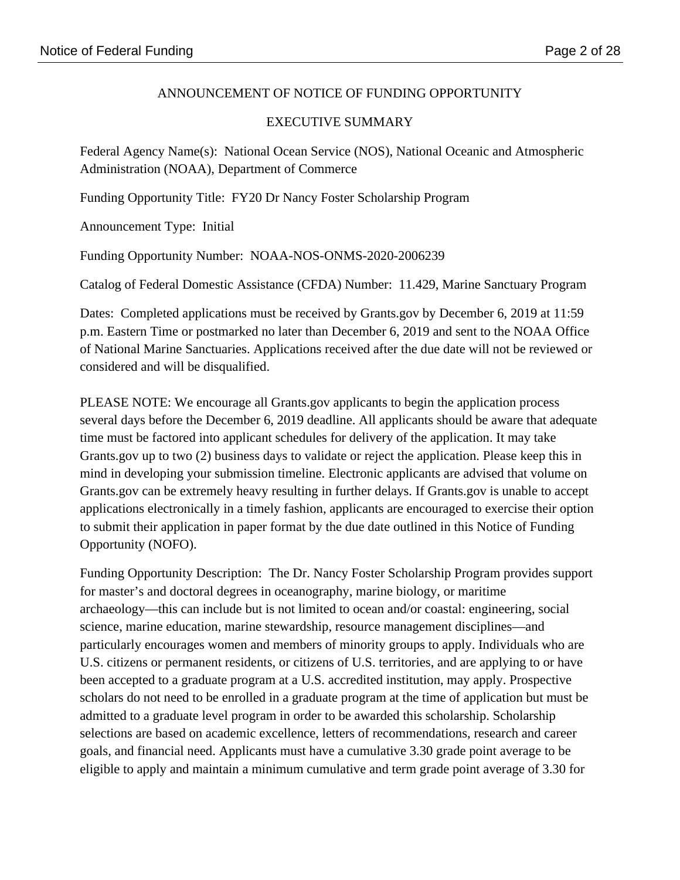# ANNOUNCEMENT OF NOTICE OF FUNDING OPPORTUNITY

# EXECUTIVE SUMMARY

Federal Agency Name(s): National Ocean Service (NOS), National Oceanic and Atmospheric Administration (NOAA), Department of Commerce

Funding Opportunity Title: FY20 Dr Nancy Foster Scholarship Program

Announcement Type: Initial

Funding Opportunity Number: NOAA-NOS-ONMS-2020-2006239

Catalog of Federal Domestic Assistance (CFDA) Number: 11.429, Marine Sanctuary Program

Dates: Completed applications must be received by Grants.gov by December 6, 2019 at 11:59 p.m. Eastern Time or postmarked no later than December 6, 2019 and sent to the NOAA Office of National Marine Sanctuaries. Applications received after the due date will not be reviewed or considered and will be disqualified.

PLEASE NOTE: We encourage all Grants.gov applicants to begin the application process several days before the December 6, 2019 deadline. All applicants should be aware that adequate time must be factored into applicant schedules for delivery of the application. It may take Grants.gov up to two (2) business days to validate or reject the application. Please keep this in mind in developing your submission timeline. Electronic applicants are advised that volume on Grants.gov can be extremely heavy resulting in further delays. If Grants.gov is unable to accept applications electronically in a timely fashion, applicants are encouraged to exercise their option to submit their application in paper format by the due date outlined in this Notice of Funding Opportunity (NOFO).

Funding Opportunity Description: The Dr. Nancy Foster Scholarship Program provides support for master's and doctoral degrees in oceanography, marine biology, or maritime archaeology—this can include but is not limited to ocean and/or coastal: engineering, social science, marine education, marine stewardship, resource management disciplines—and particularly encourages women and members of minority groups to apply. Individuals who are U.S. citizens or permanent residents, or citizens of U.S. territories, and are applying to or have been accepted to a graduate program at a U.S. accredited institution, may apply. Prospective scholars do not need to be enrolled in a graduate program at the time of application but must be admitted to a graduate level program in order to be awarded this scholarship. Scholarship selections are based on academic excellence, letters of recommendations, research and career goals, and financial need. Applicants must have a cumulative 3.30 grade point average to be eligible to apply and maintain a minimum cumulative and term grade point average of 3.30 for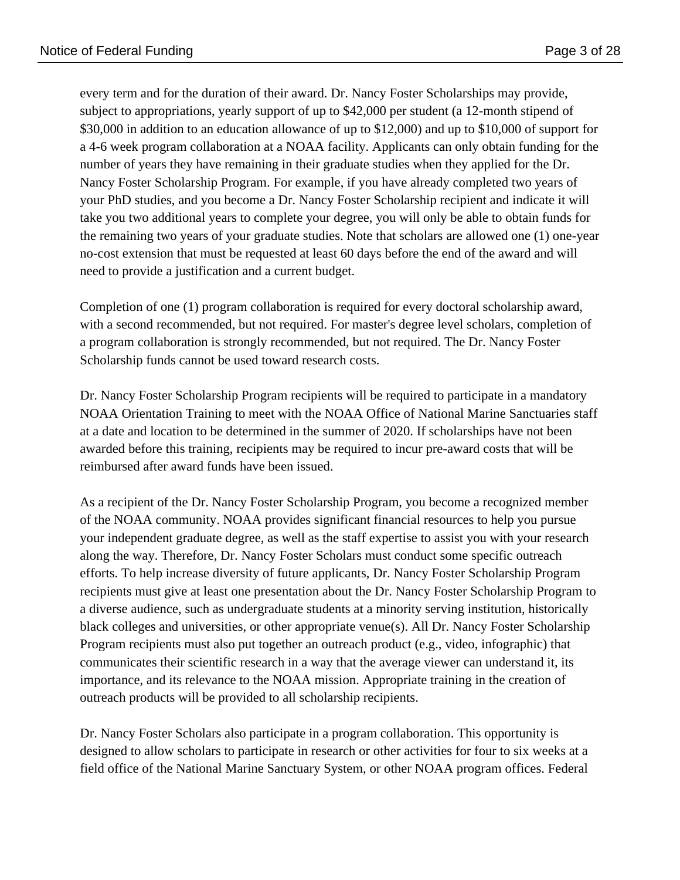every term and for the duration of their award. Dr. Nancy Foster Scholarships may provide, subject to appropriations, yearly support of up to \$42,000 per student (a 12-month stipend of \$30,000 in addition to an education allowance of up to \$12,000) and up to \$10,000 of support for a 4-6 week program collaboration at a NOAA facility. Applicants can only obtain funding for the number of years they have remaining in their graduate studies when they applied for the Dr. Nancy Foster Scholarship Program. For example, if you have already completed two years of your PhD studies, and you become a Dr. Nancy Foster Scholarship recipient and indicate it will take you two additional years to complete your degree, you will only be able to obtain funds for the remaining two years of your graduate studies. Note that scholars are allowed one (1) one-year no-cost extension that must be requested at least 60 days before the end of the award and will need to provide a justification and a current budget.

Completion of one (1) program collaboration is required for every doctoral scholarship award, with a second recommended, but not required. For master's degree level scholars, completion of a program collaboration is strongly recommended, but not required. The Dr. Nancy Foster Scholarship funds cannot be used toward research costs.

Dr. Nancy Foster Scholarship Program recipients will be required to participate in a mandatory NOAA Orientation Training to meet with the NOAA Office of National Marine Sanctuaries staff at a date and location to be determined in the summer of 2020. If scholarships have not been awarded before this training, recipients may be required to incur pre-award costs that will be reimbursed after award funds have been issued.

As a recipient of the Dr. Nancy Foster Scholarship Program, you become a recognized member of the NOAA community. NOAA provides significant financial resources to help you pursue your independent graduate degree, as well as the staff expertise to assist you with your research along the way. Therefore, Dr. Nancy Foster Scholars must conduct some specific outreach efforts. To help increase diversity of future applicants, Dr. Nancy Foster Scholarship Program recipients must give at least one presentation about the Dr. Nancy Foster Scholarship Program to a diverse audience, such as undergraduate students at a minority serving institution, historically black colleges and universities, or other appropriate venue(s). All Dr. Nancy Foster Scholarship Program recipients must also put together an outreach product (e.g., video, infographic) that communicates their scientific research in a way that the average viewer can understand it, its importance, and its relevance to the NOAA mission. Appropriate training in the creation of outreach products will be provided to all scholarship recipients.

Dr. Nancy Foster Scholars also participate in a program collaboration. This opportunity is designed to allow scholars to participate in research or other activities for four to six weeks at a field office of the National Marine Sanctuary System, or other NOAA program offices. Federal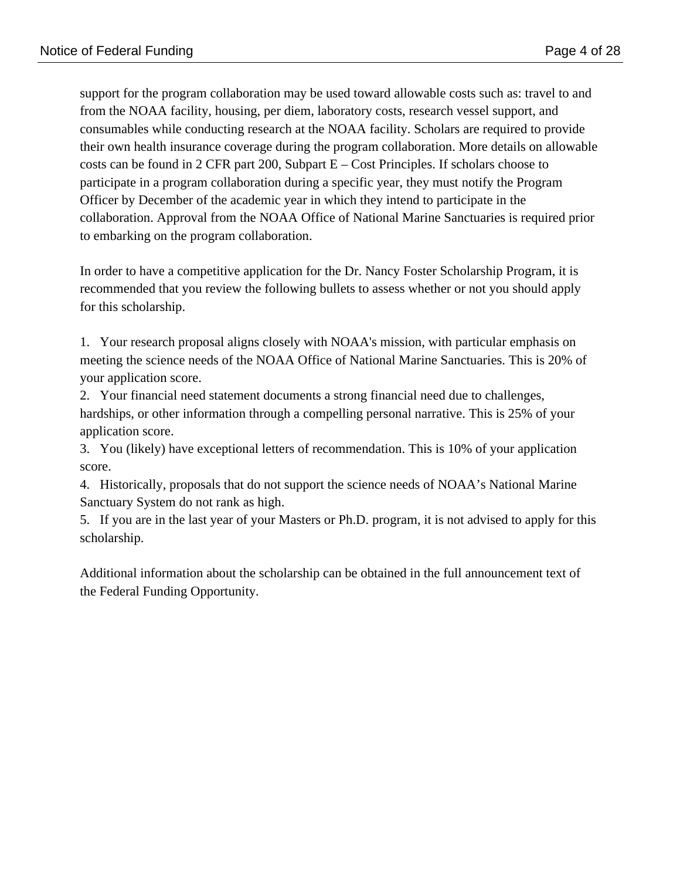support for the program collaboration may be used toward allowable costs such as: travel to and from the NOAA facility, housing, per diem, laboratory costs, research vessel support, and consumables while conducting research at the NOAA facility. Scholars are required to provide their own health insurance coverage during the program collaboration. More details on allowable costs can be found in 2 CFR part 200, Subpart E – Cost Principles. If scholars choose to participate in a program collaboration during a specific year, they must notify the Program Officer by December of the academic year in which they intend to participate in the collaboration. Approval from the NOAA Office of National Marine Sanctuaries is required prior to embarking on the program collaboration.

In order to have a competitive application for the Dr. Nancy Foster Scholarship Program, it is recommended that you review the following bullets to assess whether or not you should apply for this scholarship.

1. Your research proposal aligns closely with NOAA's mission, with particular emphasis on meeting the science needs of the NOAA Office of National Marine Sanctuaries. This is 20% of your application score.

2. Your financial need statement documents a strong financial need due to challenges, hardships, or other information through a compelling personal narrative. This is 25% of your application score.

3. You (likely) have exceptional letters of recommendation. This is 10% of your application score.

4. Historically, proposals that do not support the science needs of NOAA's National Marine Sanctuary System do not rank as high.

5. If you are in the last year of your Masters or Ph.D. program, it is not advised to apply for this scholarship.

Additional information about the scholarship can be obtained in the full announcement text of the Federal Funding Opportunity.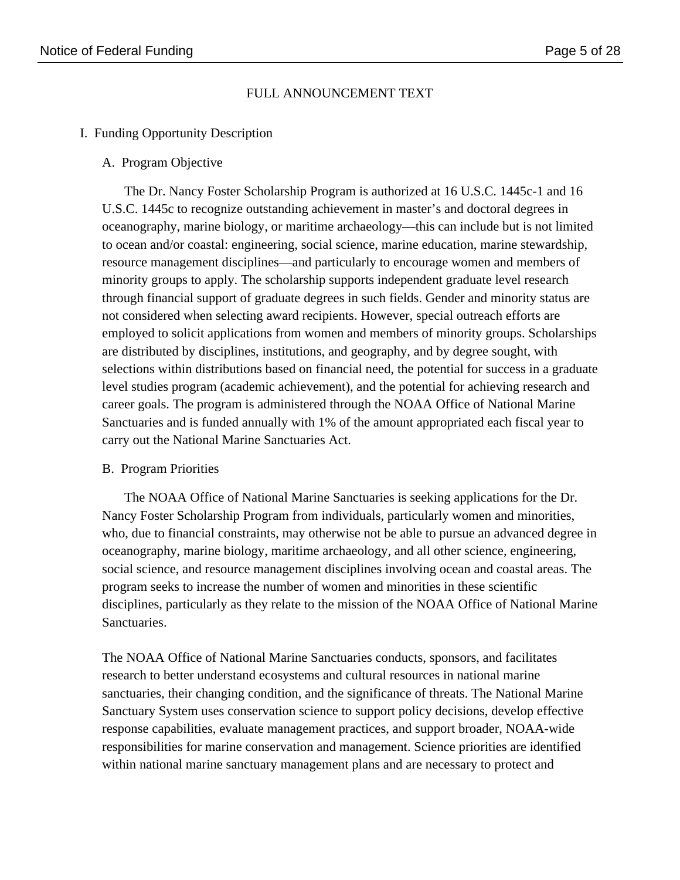### FULL ANNOUNCEMENT TEXT

#### I. Funding Opportunity Description

#### A. Program Objective

The Dr. Nancy Foster Scholarship Program is authorized at 16 U.S.C. 1445c-1 and 16 U.S.C. 1445c to recognize outstanding achievement in master's and doctoral degrees in oceanography, marine biology, or maritime archaeology—this can include but is not limited to ocean and/or coastal: engineering, social science, marine education, marine stewardship, resource management disciplines—and particularly to encourage women and members of minority groups to apply. The scholarship supports independent graduate level research through financial support of graduate degrees in such fields. Gender and minority status are not considered when selecting award recipients. However, special outreach efforts are employed to solicit applications from women and members of minority groups. Scholarships are distributed by disciplines, institutions, and geography, and by degree sought, with selections within distributions based on financial need, the potential for success in a graduate level studies program (academic achievement), and the potential for achieving research and career goals. The program is administered through the NOAA Office of National Marine Sanctuaries and is funded annually with 1% of the amount appropriated each fiscal year to carry out the National Marine Sanctuaries Act.

#### B. Program Priorities

The NOAA Office of National Marine Sanctuaries is seeking applications for the Dr. Nancy Foster Scholarship Program from individuals, particularly women and minorities, who, due to financial constraints, may otherwise not be able to pursue an advanced degree in oceanography, marine biology, maritime archaeology, and all other science, engineering, social science, and resource management disciplines involving ocean and coastal areas. The program seeks to increase the number of women and minorities in these scientific disciplines, particularly as they relate to the mission of the NOAA Office of National Marine Sanctuaries.

The NOAA Office of National Marine Sanctuaries conducts, sponsors, and facilitates research to better understand ecosystems and cultural resources in national marine sanctuaries, their changing condition, and the significance of threats. The National Marine Sanctuary System uses conservation science to support policy decisions, develop effective response capabilities, evaluate management practices, and support broader, NOAA-wide responsibilities for marine conservation and management. Science priorities are identified within national marine sanctuary management plans and are necessary to protect and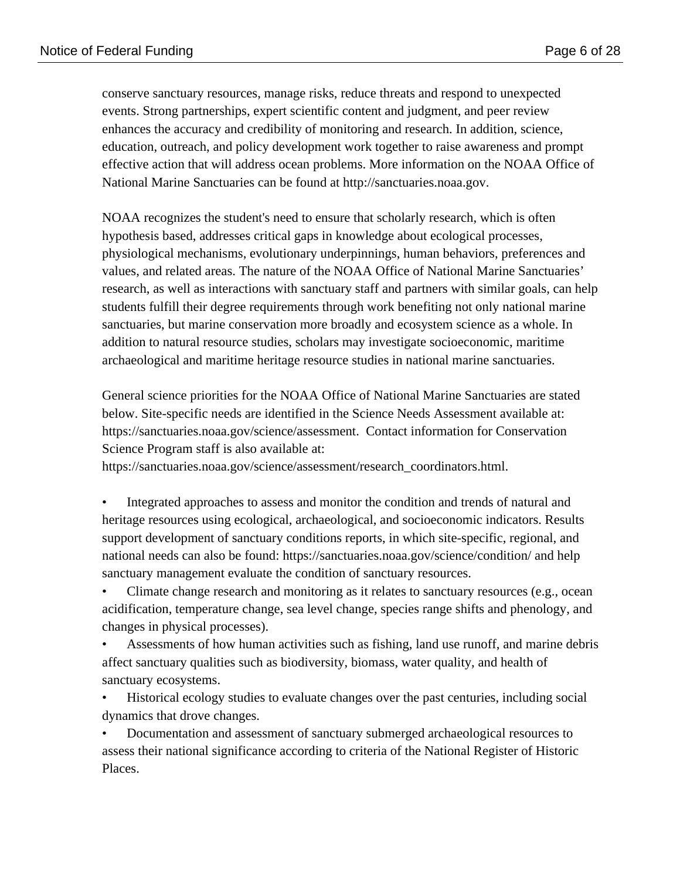conserve sanctuary resources, manage risks, reduce threats and respond to unexpected events. Strong partnerships, expert scientific content and judgment, and peer review enhances the accuracy and credibility of monitoring and research. In addition, science, education, outreach, and policy development work together to raise awareness and prompt effective action that will address ocean problems. More information on the NOAA Office of National Marine Sanctuaries can be found at http://sanctuaries.noaa.gov.

NOAA recognizes the student's need to ensure that scholarly research, which is often hypothesis based, addresses critical gaps in knowledge about ecological processes, physiological mechanisms, evolutionary underpinnings, human behaviors, preferences and values, and related areas. The nature of the NOAA Office of National Marine Sanctuaries' research, as well as interactions with sanctuary staff and partners with similar goals, can help students fulfill their degree requirements through work benefiting not only national marine sanctuaries, but marine conservation more broadly and ecosystem science as a whole. In addition to natural resource studies, scholars may investigate socioeconomic, maritime archaeological and maritime heritage resource studies in national marine sanctuaries.

General science priorities for the NOAA Office of National Marine Sanctuaries are stated below. Site-specific needs are identified in the Science Needs Assessment available at: https://sanctuaries.noaa.gov/science/assessment. Contact information for Conservation Science Program staff is also available at:

https://sanctuaries.noaa.gov/science/assessment/research\_coordinators.html.

• Integrated approaches to assess and monitor the condition and trends of natural and heritage resources using ecological, archaeological, and socioeconomic indicators. Results support development of sanctuary conditions reports, in which site-specific, regional, and national needs can also be found: https://sanctuaries.noaa.gov/science/condition/ and help sanctuary management evaluate the condition of sanctuary resources.

• Climate change research and monitoring as it relates to sanctuary resources (e.g., ocean acidification, temperature change, sea level change, species range shifts and phenology, and changes in physical processes).

• Assessments of how human activities such as fishing, land use runoff, and marine debris affect sanctuary qualities such as biodiversity, biomass, water quality, and health of sanctuary ecosystems.

• Historical ecology studies to evaluate changes over the past centuries, including social dynamics that drove changes.

• Documentation and assessment of sanctuary submerged archaeological resources to assess their national significance according to criteria of the National Register of Historic Places.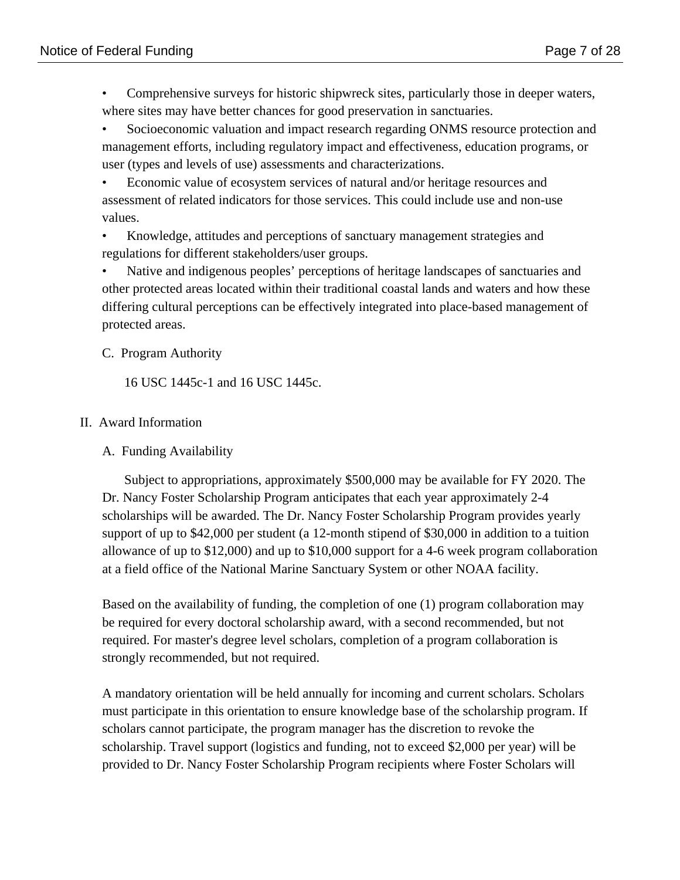• Comprehensive surveys for historic shipwreck sites, particularly those in deeper waters, where sites may have better chances for good preservation in sanctuaries.

• Socioeconomic valuation and impact research regarding ONMS resource protection and management efforts, including regulatory impact and effectiveness, education programs, or user (types and levels of use) assessments and characterizations.

• Economic value of ecosystem services of natural and/or heritage resources and assessment of related indicators for those services. This could include use and non-use values.

• Knowledge, attitudes and perceptions of sanctuary management strategies and regulations for different stakeholders/user groups.

• Native and indigenous peoples' perceptions of heritage landscapes of sanctuaries and other protected areas located within their traditional coastal lands and waters and how these differing cultural perceptions can be effectively integrated into place-based management of protected areas.

C. Program Authority

16 USC 1445c-1 and 16 USC 1445c.

# II. Award Information

A. Funding Availability

Subject to appropriations, approximately \$500,000 may be available for FY 2020. The Dr. Nancy Foster Scholarship Program anticipates that each year approximately 2-4 scholarships will be awarded. The Dr. Nancy Foster Scholarship Program provides yearly support of up to \$42,000 per student (a 12-month stipend of \$30,000 in addition to a tuition allowance of up to \$12,000) and up to \$10,000 support for a 4-6 week program collaboration at a field office of the National Marine Sanctuary System or other NOAA facility.

Based on the availability of funding, the completion of one (1) program collaboration may be required for every doctoral scholarship award, with a second recommended, but not required. For master's degree level scholars, completion of a program collaboration is strongly recommended, but not required.

A mandatory orientation will be held annually for incoming and current scholars. Scholars must participate in this orientation to ensure knowledge base of the scholarship program. If scholars cannot participate, the program manager has the discretion to revoke the scholarship. Travel support (logistics and funding, not to exceed \$2,000 per year) will be provided to Dr. Nancy Foster Scholarship Program recipients where Foster Scholars will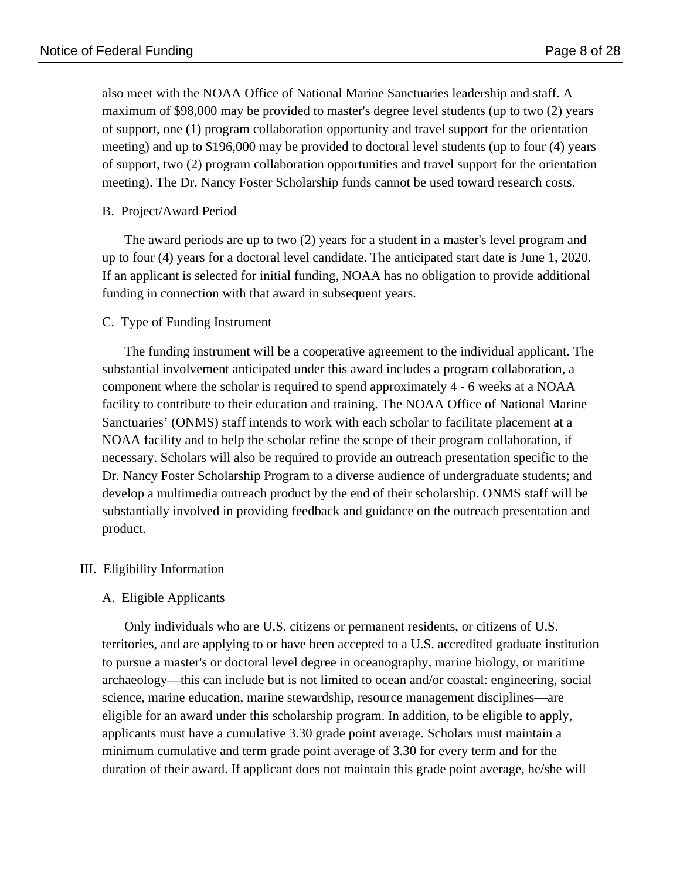also meet with the NOAA Office of National Marine Sanctuaries leadership and staff. A maximum of \$98,000 may be provided to master's degree level students (up to two (2) years of support, one (1) program collaboration opportunity and travel support for the orientation meeting) and up to \$196,000 may be provided to doctoral level students (up to four (4) years of support, two (2) program collaboration opportunities and travel support for the orientation meeting). The Dr. Nancy Foster Scholarship funds cannot be used toward research costs.

#### B. Project/Award Period

The award periods are up to two (2) years for a student in a master's level program and up to four (4) years for a doctoral level candidate. The anticipated start date is June 1, 2020. If an applicant is selected for initial funding, NOAA has no obligation to provide additional funding in connection with that award in subsequent years.

#### C. Type of Funding Instrument

The funding instrument will be a cooperative agreement to the individual applicant. The substantial involvement anticipated under this award includes a program collaboration, a component where the scholar is required to spend approximately 4 - 6 weeks at a NOAA facility to contribute to their education and training. The NOAA Office of National Marine Sanctuaries' (ONMS) staff intends to work with each scholar to facilitate placement at a NOAA facility and to help the scholar refine the scope of their program collaboration, if necessary. Scholars will also be required to provide an outreach presentation specific to the Dr. Nancy Foster Scholarship Program to a diverse audience of undergraduate students; and develop a multimedia outreach product by the end of their scholarship. ONMS staff will be substantially involved in providing feedback and guidance on the outreach presentation and product.

#### III. Eligibility Information

#### A. Eligible Applicants

Only individuals who are U.S. citizens or permanent residents, or citizens of U.S. territories, and are applying to or have been accepted to a U.S. accredited graduate institution to pursue a master's or doctoral level degree in oceanography, marine biology, or maritime archaeology—this can include but is not limited to ocean and/or coastal: engineering, social science, marine education, marine stewardship, resource management disciplines—are eligible for an award under this scholarship program. In addition, to be eligible to apply, applicants must have a cumulative 3.30 grade point average. Scholars must maintain a minimum cumulative and term grade point average of 3.30 for every term and for the duration of their award. If applicant does not maintain this grade point average, he/she will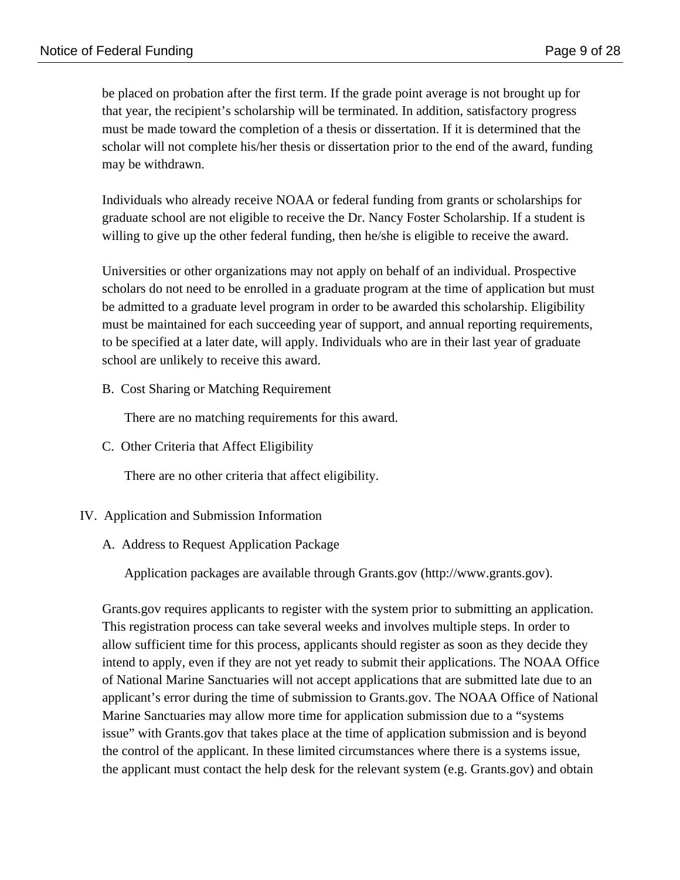be placed on probation after the first term. If the grade point average is not brought up for that year, the recipient's scholarship will be terminated. In addition, satisfactory progress must be made toward the completion of a thesis or dissertation. If it is determined that the scholar will not complete his/her thesis or dissertation prior to the end of the award, funding may be withdrawn.

Individuals who already receive NOAA or federal funding from grants or scholarships for graduate school are not eligible to receive the Dr. Nancy Foster Scholarship. If a student is willing to give up the other federal funding, then he/she is eligible to receive the award.

Universities or other organizations may not apply on behalf of an individual. Prospective scholars do not need to be enrolled in a graduate program at the time of application but must be admitted to a graduate level program in order to be awarded this scholarship. Eligibility must be maintained for each succeeding year of support, and annual reporting requirements, to be specified at a later date, will apply. Individuals who are in their last year of graduate school are unlikely to receive this award.

B. Cost Sharing or Matching Requirement

There are no matching requirements for this award.

C. Other Criteria that Affect Eligibility

There are no other criteria that affect eligibility.

# IV. Application and Submission Information

A. Address to Request Application Package

Application packages are available through Grants.gov (http://www.grants.gov).

Grants.gov requires applicants to register with the system prior to submitting an application. This registration process can take several weeks and involves multiple steps. In order to allow sufficient time for this process, applicants should register as soon as they decide they intend to apply, even if they are not yet ready to submit their applications. The NOAA Office of National Marine Sanctuaries will not accept applications that are submitted late due to an applicant's error during the time of submission to Grants.gov. The NOAA Office of National Marine Sanctuaries may allow more time for application submission due to a "systems issue" with Grants.gov that takes place at the time of application submission and is beyond the control of the applicant. In these limited circumstances where there is a systems issue, the applicant must contact the help desk for the relevant system (e.g. Grants.gov) and obtain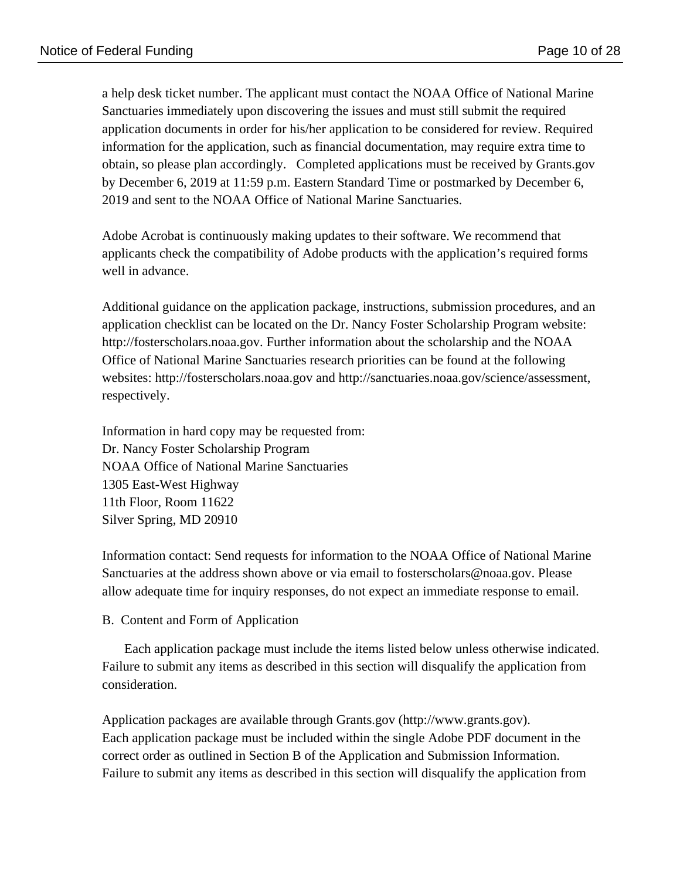a help desk ticket number. The applicant must contact the NOAA Office of National Marine Sanctuaries immediately upon discovering the issues and must still submit the required application documents in order for his/her application to be considered for review. Required information for the application, such as financial documentation, may require extra time to obtain, so please plan accordingly. Completed applications must be received by Grants.gov by December 6, 2019 at 11:59 p.m. Eastern Standard Time or postmarked by December 6, 2019 and sent to the NOAA Office of National Marine Sanctuaries.

Adobe Acrobat is continuously making updates to their software. We recommend that applicants check the compatibility of Adobe products with the application's required forms well in advance.

Additional guidance on the application package, instructions, submission procedures, and an application checklist can be located on the Dr. Nancy Foster Scholarship Program website: http://fosterscholars.noaa.gov. Further information about the scholarship and the NOAA Office of National Marine Sanctuaries research priorities can be found at the following websites: http://fosterscholars.noaa.gov and http://sanctuaries.noaa.gov/science/assessment, respectively.

Information in hard copy may be requested from: Dr. Nancy Foster Scholarship Program NOAA Office of National Marine Sanctuaries 1305 East-West Highway 11th Floor, Room 11622 Silver Spring, MD 20910

Information contact: Send requests for information to the NOAA Office of National Marine Sanctuaries at the address shown above or via email to fosterscholars@noaa.gov. Please allow adequate time for inquiry responses, do not expect an immediate response to email.

B. Content and Form of Application

Each application package must include the items listed below unless otherwise indicated. Failure to submit any items as described in this section will disqualify the application from consideration.

Application packages are available through Grants.gov (http://www.grants.gov). Each application package must be included within the single Adobe PDF document in the correct order as outlined in Section B of the Application and Submission Information. Failure to submit any items as described in this section will disqualify the application from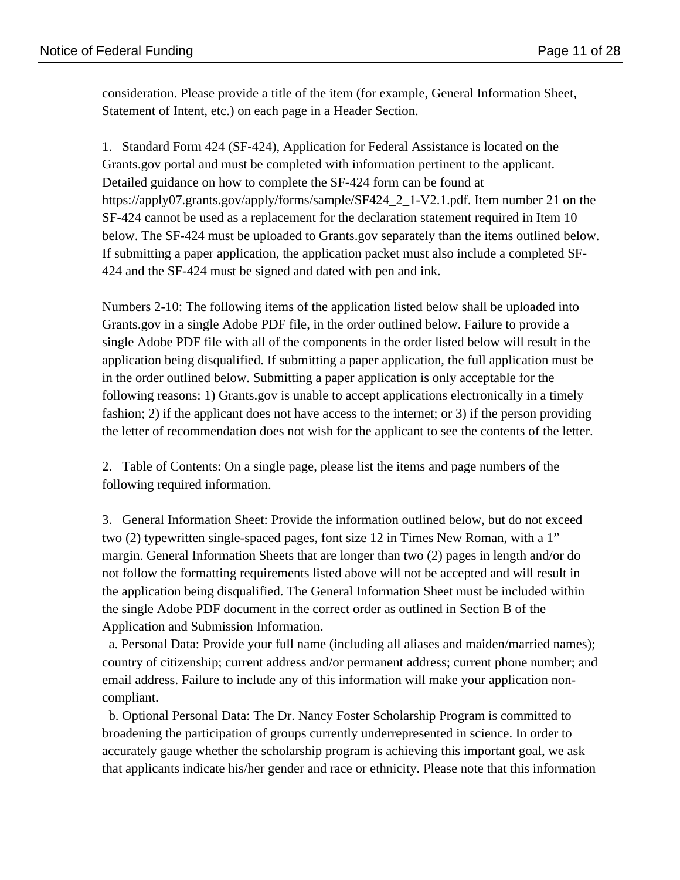consideration. Please provide a title of the item (for example, General Information Sheet, Statement of Intent, etc.) on each page in a Header Section.

1. Standard Form 424 (SF-424), Application for Federal Assistance is located on the Grants.gov portal and must be completed with information pertinent to the applicant. Detailed guidance on how to complete the SF-424 form can be found at https://apply07.grants.gov/apply/forms/sample/SF424\_2\_1-V2.1.pdf. Item number 21 on the SF-424 cannot be used as a replacement for the declaration statement required in Item 10 below. The SF-424 must be uploaded to Grants.gov separately than the items outlined below. If submitting a paper application, the application packet must also include a completed SF-424 and the SF-424 must be signed and dated with pen and ink.

Numbers 2-10: The following items of the application listed below shall be uploaded into Grants.gov in a single Adobe PDF file, in the order outlined below. Failure to provide a single Adobe PDF file with all of the components in the order listed below will result in the application being disqualified. If submitting a paper application, the full application must be in the order outlined below. Submitting a paper application is only acceptable for the following reasons: 1) Grants.gov is unable to accept applications electronically in a timely fashion; 2) if the applicant does not have access to the internet; or 3) if the person providing the letter of recommendation does not wish for the applicant to see the contents of the letter.

2. Table of Contents: On a single page, please list the items and page numbers of the following required information.

3. General Information Sheet: Provide the information outlined below, but do not exceed two (2) typewritten single-spaced pages, font size 12 in Times New Roman, with a 1" margin. General Information Sheets that are longer than two (2) pages in length and/or do not follow the formatting requirements listed above will not be accepted and will result in the application being disqualified. The General Information Sheet must be included within the single Adobe PDF document in the correct order as outlined in Section B of the Application and Submission Information.

 a. Personal Data: Provide your full name (including all aliases and maiden/married names); country of citizenship; current address and/or permanent address; current phone number; and email address. Failure to include any of this information will make your application noncompliant.

 b. Optional Personal Data: The Dr. Nancy Foster Scholarship Program is committed to broadening the participation of groups currently underrepresented in science. In order to accurately gauge whether the scholarship program is achieving this important goal, we ask that applicants indicate his/her gender and race or ethnicity. Please note that this information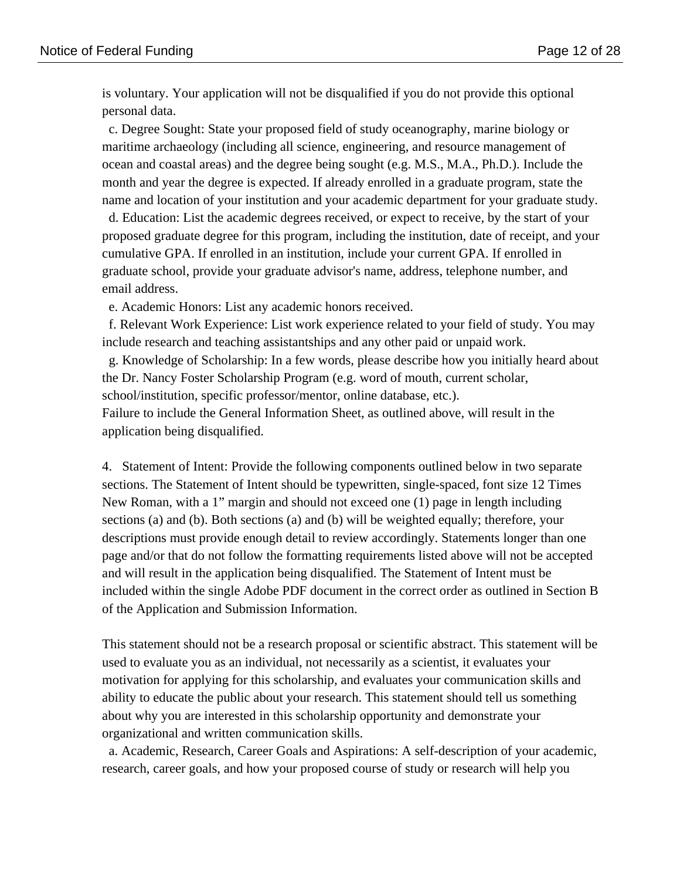is voluntary. Your application will not be disqualified if you do not provide this optional personal data.

 c. Degree Sought: State your proposed field of study oceanography, marine biology or maritime archaeology (including all science, engineering, and resource management of ocean and coastal areas) and the degree being sought (e.g. M.S., M.A., Ph.D.). Include the month and year the degree is expected. If already enrolled in a graduate program, state the name and location of your institution and your academic department for your graduate study.

 d. Education: List the academic degrees received, or expect to receive, by the start of your proposed graduate degree for this program, including the institution, date of receipt, and your cumulative GPA. If enrolled in an institution, include your current GPA. If enrolled in graduate school, provide your graduate advisor's name, address, telephone number, and email address.

e. Academic Honors: List any academic honors received.

 f. Relevant Work Experience: List work experience related to your field of study. You may include research and teaching assistantships and any other paid or unpaid work.

 g. Knowledge of Scholarship: In a few words, please describe how you initially heard about the Dr. Nancy Foster Scholarship Program (e.g. word of mouth, current scholar,

school/institution, specific professor/mentor, online database, etc.).

Failure to include the General Information Sheet, as outlined above, will result in the application being disqualified.

4. Statement of Intent: Provide the following components outlined below in two separate sections. The Statement of Intent should be typewritten, single-spaced, font size 12 Times New Roman, with a 1" margin and should not exceed one (1) page in length including sections (a) and (b). Both sections (a) and (b) will be weighted equally; therefore, your descriptions must provide enough detail to review accordingly. Statements longer than one page and/or that do not follow the formatting requirements listed above will not be accepted and will result in the application being disqualified. The Statement of Intent must be included within the single Adobe PDF document in the correct order as outlined in Section B of the Application and Submission Information.

This statement should not be a research proposal or scientific abstract. This statement will be used to evaluate you as an individual, not necessarily as a scientist, it evaluates your motivation for applying for this scholarship, and evaluates your communication skills and ability to educate the public about your research. This statement should tell us something about why you are interested in this scholarship opportunity and demonstrate your organizational and written communication skills.

 a. Academic, Research, Career Goals and Aspirations: A self-description of your academic, research, career goals, and how your proposed course of study or research will help you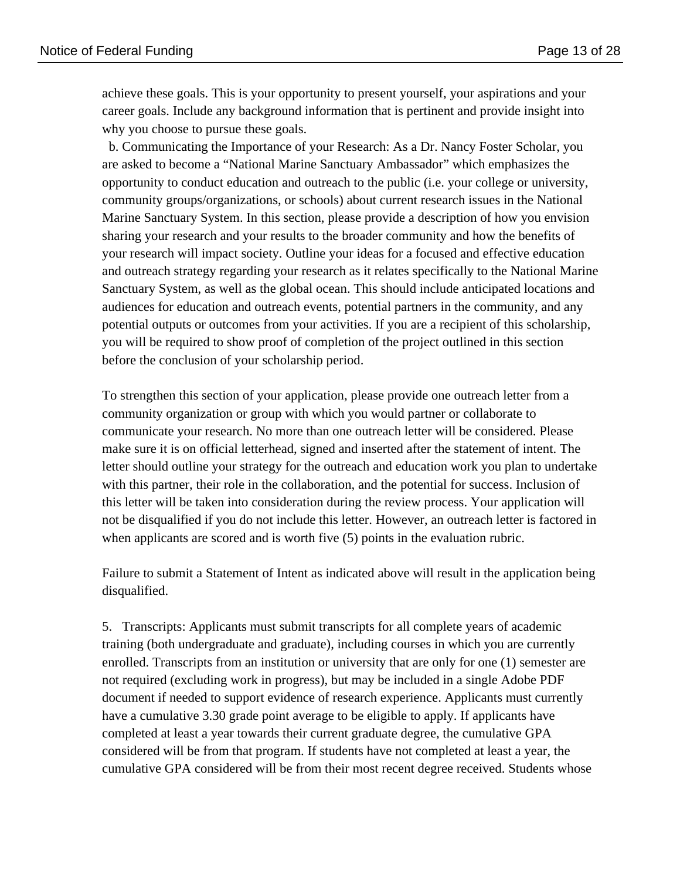achieve these goals. This is your opportunity to present yourself, your aspirations and your career goals. Include any background information that is pertinent and provide insight into why you choose to pursue these goals.

 b. Communicating the Importance of your Research: As a Dr. Nancy Foster Scholar, you are asked to become a "National Marine Sanctuary Ambassador" which emphasizes the opportunity to conduct education and outreach to the public (i.e. your college or university, community groups/organizations, or schools) about current research issues in the National Marine Sanctuary System. In this section, please provide a description of how you envision sharing your research and your results to the broader community and how the benefits of your research will impact society. Outline your ideas for a focused and effective education and outreach strategy regarding your research as it relates specifically to the National Marine Sanctuary System, as well as the global ocean. This should include anticipated locations and audiences for education and outreach events, potential partners in the community, and any potential outputs or outcomes from your activities. If you are a recipient of this scholarship, you will be required to show proof of completion of the project outlined in this section before the conclusion of your scholarship period.

To strengthen this section of your application, please provide one outreach letter from a community organization or group with which you would partner or collaborate to communicate your research. No more than one outreach letter will be considered. Please make sure it is on official letterhead, signed and inserted after the statement of intent. The letter should outline your strategy for the outreach and education work you plan to undertake with this partner, their role in the collaboration, and the potential for success. Inclusion of this letter will be taken into consideration during the review process. Your application will not be disqualified if you do not include this letter. However, an outreach letter is factored in when applicants are scored and is worth five (5) points in the evaluation rubric.

Failure to submit a Statement of Intent as indicated above will result in the application being disqualified.

5. Transcripts: Applicants must submit transcripts for all complete years of academic training (both undergraduate and graduate), including courses in which you are currently enrolled. Transcripts from an institution or university that are only for one (1) semester are not required (excluding work in progress), but may be included in a single Adobe PDF document if needed to support evidence of research experience. Applicants must currently have a cumulative 3.30 grade point average to be eligible to apply. If applicants have completed at least a year towards their current graduate degree, the cumulative GPA considered will be from that program. If students have not completed at least a year, the cumulative GPA considered will be from their most recent degree received. Students whose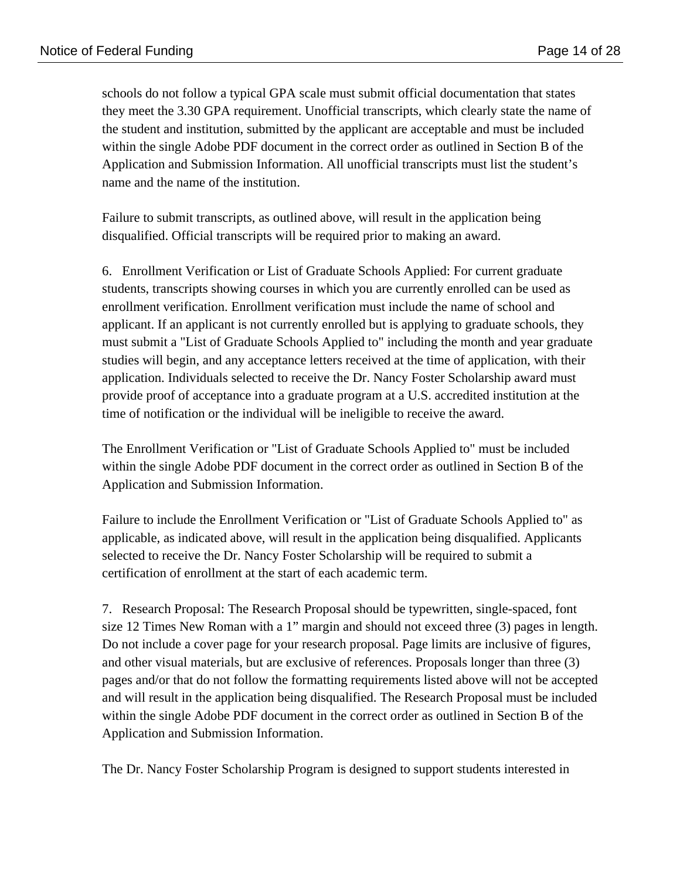schools do not follow a typical GPA scale must submit official documentation that states they meet the 3.30 GPA requirement. Unofficial transcripts, which clearly state the name of the student and institution, submitted by the applicant are acceptable and must be included within the single Adobe PDF document in the correct order as outlined in Section B of the Application and Submission Information. All unofficial transcripts must list the student's name and the name of the institution.

Failure to submit transcripts, as outlined above, will result in the application being disqualified. Official transcripts will be required prior to making an award.

6. Enrollment Verification or List of Graduate Schools Applied: For current graduate students, transcripts showing courses in which you are currently enrolled can be used as enrollment verification. Enrollment verification must include the name of school and applicant. If an applicant is not currently enrolled but is applying to graduate schools, they must submit a "List of Graduate Schools Applied to" including the month and year graduate studies will begin, and any acceptance letters received at the time of application, with their application. Individuals selected to receive the Dr. Nancy Foster Scholarship award must provide proof of acceptance into a graduate program at a U.S. accredited institution at the time of notification or the individual will be ineligible to receive the award.

The Enrollment Verification or "List of Graduate Schools Applied to" must be included within the single Adobe PDF document in the correct order as outlined in Section B of the Application and Submission Information.

Failure to include the Enrollment Verification or "List of Graduate Schools Applied to" as applicable, as indicated above, will result in the application being disqualified. Applicants selected to receive the Dr. Nancy Foster Scholarship will be required to submit a certification of enrollment at the start of each academic term.

7. Research Proposal: The Research Proposal should be typewritten, single-spaced, font size 12 Times New Roman with a 1" margin and should not exceed three (3) pages in length. Do not include a cover page for your research proposal. Page limits are inclusive of figures, and other visual materials, but are exclusive of references. Proposals longer than three (3) pages and/or that do not follow the formatting requirements listed above will not be accepted and will result in the application being disqualified. The Research Proposal must be included within the single Adobe PDF document in the correct order as outlined in Section B of the Application and Submission Information.

The Dr. Nancy Foster Scholarship Program is designed to support students interested in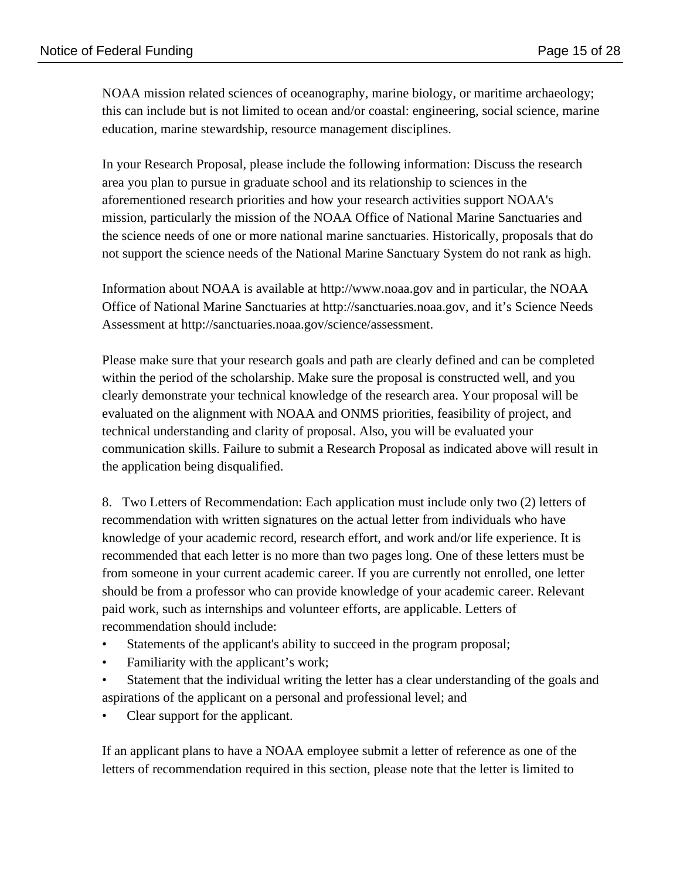NOAA mission related sciences of oceanography, marine biology, or maritime archaeology; this can include but is not limited to ocean and/or coastal: engineering, social science, marine education, marine stewardship, resource management disciplines.

In your Research Proposal, please include the following information: Discuss the research area you plan to pursue in graduate school and its relationship to sciences in the aforementioned research priorities and how your research activities support NOAA's mission, particularly the mission of the NOAA Office of National Marine Sanctuaries and the science needs of one or more national marine sanctuaries. Historically, proposals that do not support the science needs of the National Marine Sanctuary System do not rank as high.

Information about NOAA is available at http://www.noaa.gov and in particular, the NOAA Office of National Marine Sanctuaries at http://sanctuaries.noaa.gov, and it's Science Needs Assessment at http://sanctuaries.noaa.gov/science/assessment.

Please make sure that your research goals and path are clearly defined and can be completed within the period of the scholarship. Make sure the proposal is constructed well, and you clearly demonstrate your technical knowledge of the research area. Your proposal will be evaluated on the alignment with NOAA and ONMS priorities, feasibility of project, and technical understanding and clarity of proposal. Also, you will be evaluated your communication skills. Failure to submit a Research Proposal as indicated above will result in the application being disqualified.

8. Two Letters of Recommendation: Each application must include only two (2) letters of recommendation with written signatures on the actual letter from individuals who have knowledge of your academic record, research effort, and work and/or life experience. It is recommended that each letter is no more than two pages long. One of these letters must be from someone in your current academic career. If you are currently not enrolled, one letter should be from a professor who can provide knowledge of your academic career. Relevant paid work, such as internships and volunteer efforts, are applicable. Letters of recommendation should include:

- Statements of the applicant's ability to succeed in the program proposal;
- Familiarity with the applicant's work;
- Statement that the individual writing the letter has a clear understanding of the goals and aspirations of the applicant on a personal and professional level; and
- Clear support for the applicant.

If an applicant plans to have a NOAA employee submit a letter of reference as one of the letters of recommendation required in this section, please note that the letter is limited to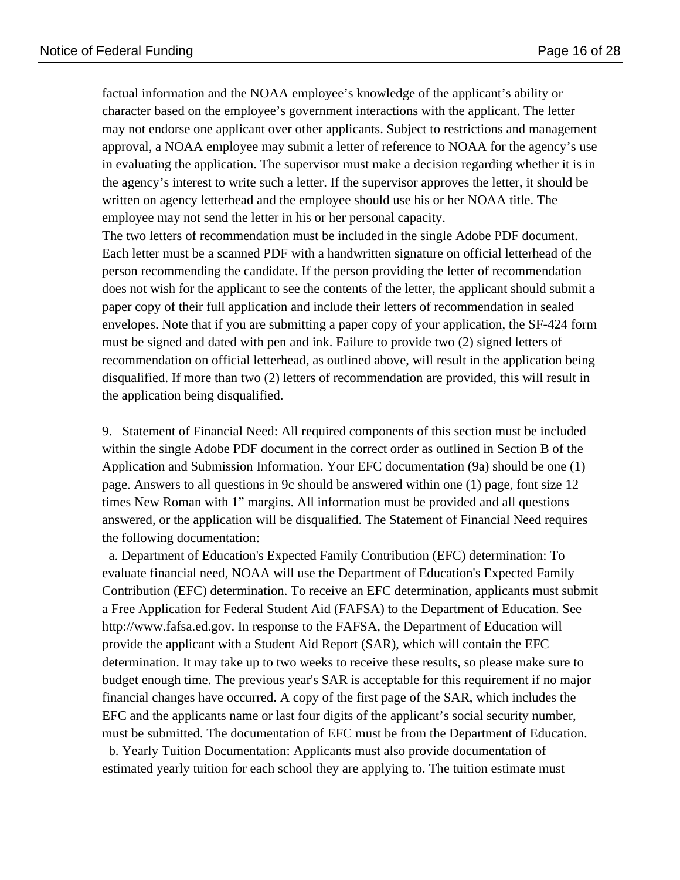factual information and the NOAA employee's knowledge of the applicant's ability or character based on the employee's government interactions with the applicant. The letter may not endorse one applicant over other applicants. Subject to restrictions and management approval, a NOAA employee may submit a letter of reference to NOAA for the agency's use in evaluating the application. The supervisor must make a decision regarding whether it is in the agency's interest to write such a letter. If the supervisor approves the letter, it should be written on agency letterhead and the employee should use his or her NOAA title. The employee may not send the letter in his or her personal capacity.

The two letters of recommendation must be included in the single Adobe PDF document. Each letter must be a scanned PDF with a handwritten signature on official letterhead of the person recommending the candidate. If the person providing the letter of recommendation does not wish for the applicant to see the contents of the letter, the applicant should submit a paper copy of their full application and include their letters of recommendation in sealed envelopes. Note that if you are submitting a paper copy of your application, the SF-424 form must be signed and dated with pen and ink. Failure to provide two (2) signed letters of recommendation on official letterhead, as outlined above, will result in the application being disqualified. If more than two (2) letters of recommendation are provided, this will result in the application being disqualified.

9. Statement of Financial Need: All required components of this section must be included within the single Adobe PDF document in the correct order as outlined in Section B of the Application and Submission Information. Your EFC documentation (9a) should be one (1) page. Answers to all questions in 9c should be answered within one (1) page, font size 12 times New Roman with 1" margins. All information must be provided and all questions answered, or the application will be disqualified. The Statement of Financial Need requires the following documentation:

 a. Department of Education's Expected Family Contribution (EFC) determination: To evaluate financial need, NOAA will use the Department of Education's Expected Family Contribution (EFC) determination. To receive an EFC determination, applicants must submit a Free Application for Federal Student Aid (FAFSA) to the Department of Education. See http://www.fafsa.ed.gov. In response to the FAFSA, the Department of Education will provide the applicant with a Student Aid Report (SAR), which will contain the EFC determination. It may take up to two weeks to receive these results, so please make sure to budget enough time. The previous year's SAR is acceptable for this requirement if no major financial changes have occurred. A copy of the first page of the SAR, which includes the EFC and the applicants name or last four digits of the applicant's social security number, must be submitted. The documentation of EFC must be from the Department of Education.

 b. Yearly Tuition Documentation: Applicants must also provide documentation of estimated yearly tuition for each school they are applying to. The tuition estimate must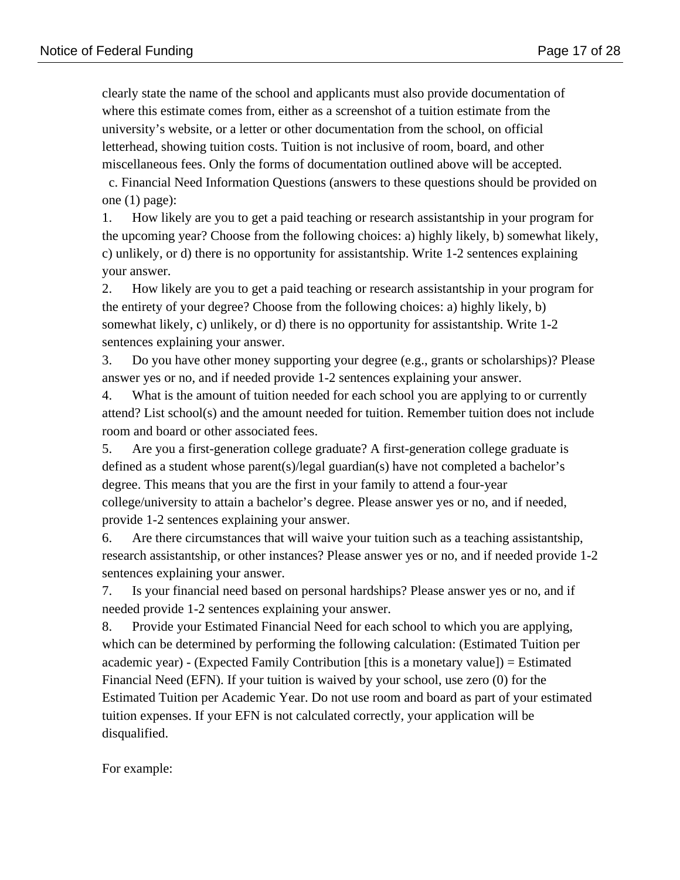clearly state the name of the school and applicants must also provide documentation of where this estimate comes from, either as a screenshot of a tuition estimate from the university's website, or a letter or other documentation from the school, on official letterhead, showing tuition costs. Tuition is not inclusive of room, board, and other miscellaneous fees. Only the forms of documentation outlined above will be accepted.

 c. Financial Need Information Questions (answers to these questions should be provided on one (1) page):

1. How likely are you to get a paid teaching or research assistantship in your program for the upcoming year? Choose from the following choices: a) highly likely, b) somewhat likely, c) unlikely, or d) there is no opportunity for assistantship. Write 1-2 sentences explaining your answer.

2. How likely are you to get a paid teaching or research assistantship in your program for the entirety of your degree? Choose from the following choices: a) highly likely, b) somewhat likely, c) unlikely, or d) there is no opportunity for assistantship. Write 1-2 sentences explaining your answer.

3. Do you have other money supporting your degree (e.g., grants or scholarships)? Please answer yes or no, and if needed provide 1-2 sentences explaining your answer.

4. What is the amount of tuition needed for each school you are applying to or currently attend? List school(s) and the amount needed for tuition. Remember tuition does not include room and board or other associated fees.

5. Are you a first-generation college graduate? A first-generation college graduate is defined as a student whose parent(s)/legal guardian(s) have not completed a bachelor's degree. This means that you are the first in your family to attend a four-year college/university to attain a bachelor's degree. Please answer yes or no, and if needed, provide 1-2 sentences explaining your answer.

6. Are there circumstances that will waive your tuition such as a teaching assistantship, research assistantship, or other instances? Please answer yes or no, and if needed provide 1-2 sentences explaining your answer.

7. Is your financial need based on personal hardships? Please answer yes or no, and if needed provide 1-2 sentences explaining your answer.

8. Provide your Estimated Financial Need for each school to which you are applying, which can be determined by performing the following calculation: (Estimated Tuition per academic year) - (Expected Family Contribution [this is a monetary value]) = Estimated Financial Need (EFN). If your tuition is waived by your school, use zero (0) for the Estimated Tuition per Academic Year. Do not use room and board as part of your estimated tuition expenses. If your EFN is not calculated correctly, your application will be disqualified.

For example: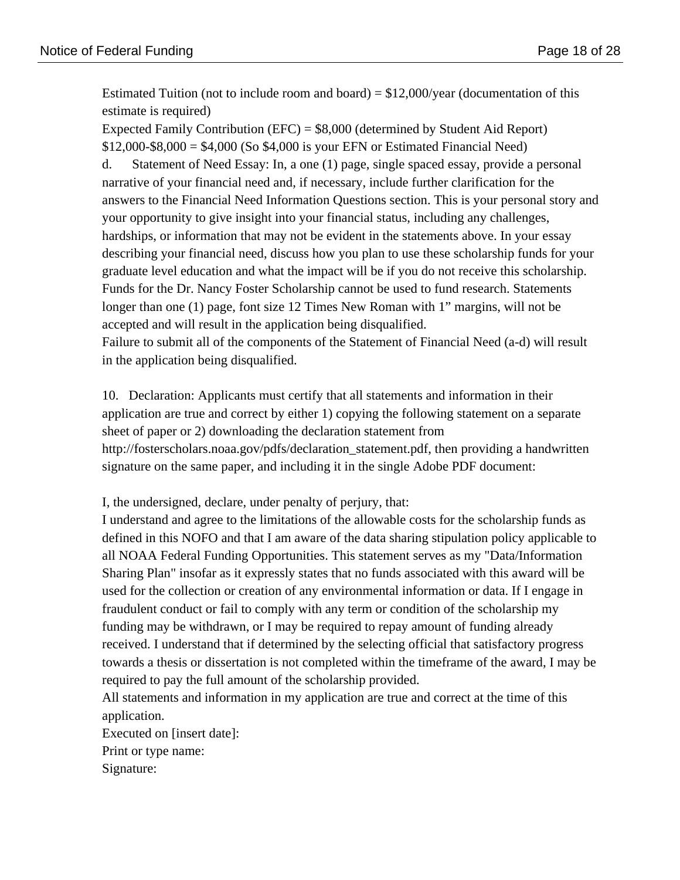Estimated Tuition (not to include room and board) =  $$12,000/year$  (documentation of this estimate is required)

Expected Family Contribution (EFC) = \$8,000 (determined by Student Aid Report)  $$12,000-S8,000 = $4,000$  (So \$4,000 is your EFN or Estimated Financial Need) d. Statement of Need Essay: In, a one (1) page, single spaced essay, provide a personal narrative of your financial need and, if necessary, include further clarification for the answers to the Financial Need Information Questions section. This is your personal story and your opportunity to give insight into your financial status, including any challenges, hardships, or information that may not be evident in the statements above. In your essay

describing your financial need, discuss how you plan to use these scholarship funds for your graduate level education and what the impact will be if you do not receive this scholarship. Funds for the Dr. Nancy Foster Scholarship cannot be used to fund research. Statements longer than one (1) page, font size 12 Times New Roman with 1" margins, will not be accepted and will result in the application being disqualified.

Failure to submit all of the components of the Statement of Financial Need (a-d) will result in the application being disqualified.

10. Declaration: Applicants must certify that all statements and information in their application are true and correct by either 1) copying the following statement on a separate sheet of paper or 2) downloading the declaration statement from http://fosterscholars.noaa.gov/pdfs/declaration\_statement.pdf, then providing a handwritten signature on the same paper, and including it in the single Adobe PDF document:

I, the undersigned, declare, under penalty of perjury, that:

I understand and agree to the limitations of the allowable costs for the scholarship funds as defined in this NOFO and that I am aware of the data sharing stipulation policy applicable to all NOAA Federal Funding Opportunities. This statement serves as my "Data/Information Sharing Plan" insofar as it expressly states that no funds associated with this award will be used for the collection or creation of any environmental information or data. If I engage in fraudulent conduct or fail to comply with any term or condition of the scholarship my funding may be withdrawn, or I may be required to repay amount of funding already received. I understand that if determined by the selecting official that satisfactory progress towards a thesis or dissertation is not completed within the timeframe of the award, I may be required to pay the full amount of the scholarship provided.

All statements and information in my application are true and correct at the time of this application.

Executed on [insert date]: Print or type name: Signature: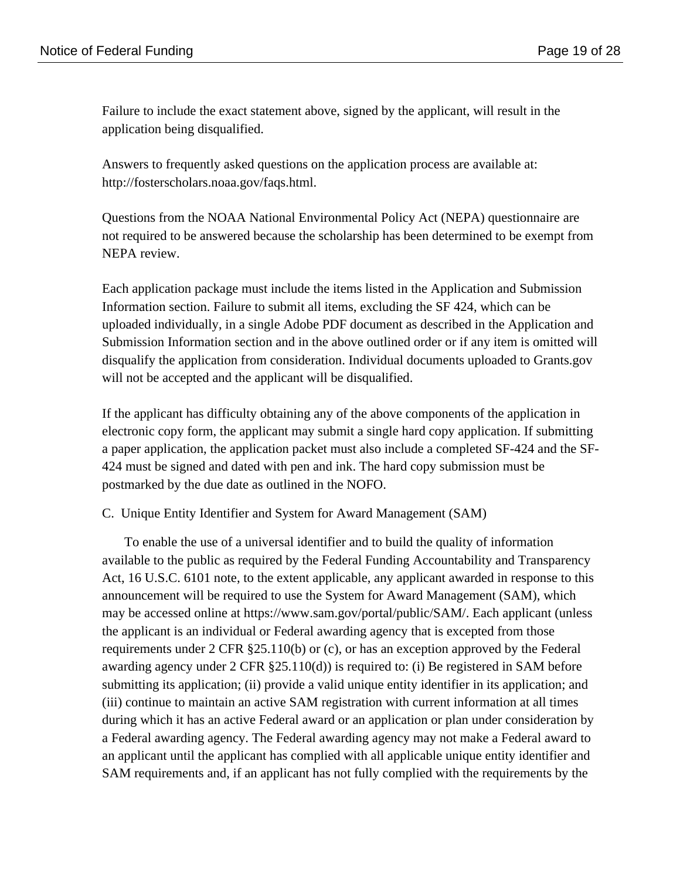Failure to include the exact statement above, signed by the applicant, will result in the application being disqualified.

Answers to frequently asked questions on the application process are available at: http://fosterscholars.noaa.gov/faqs.html.

Questions from the NOAA National Environmental Policy Act (NEPA) questionnaire are not required to be answered because the scholarship has been determined to be exempt from NEPA review.

Each application package must include the items listed in the Application and Submission Information section. Failure to submit all items, excluding the SF 424, which can be uploaded individually, in a single Adobe PDF document as described in the Application and Submission Information section and in the above outlined order or if any item is omitted will disqualify the application from consideration. Individual documents uploaded to Grants.gov will not be accepted and the applicant will be disqualified.

If the applicant has difficulty obtaining any of the above components of the application in electronic copy form, the applicant may submit a single hard copy application. If submitting a paper application, the application packet must also include a completed SF-424 and the SF-424 must be signed and dated with pen and ink. The hard copy submission must be postmarked by the due date as outlined in the NOFO.

C. Unique Entity Identifier and System for Award Management (SAM)

To enable the use of a universal identifier and to build the quality of information available to the public as required by the Federal Funding Accountability and Transparency Act, 16 U.S.C. 6101 note, to the extent applicable, any applicant awarded in response to this announcement will be required to use the System for Award Management (SAM), which may be accessed online at https://www.sam.gov/portal/public/SAM/. Each applicant (unless the applicant is an individual or Federal awarding agency that is excepted from those requirements under 2 CFR §25.110(b) or (c), or has an exception approved by the Federal awarding agency under 2 CFR §25.110(d)) is required to: (i) Be registered in SAM before submitting its application; (ii) provide a valid unique entity identifier in its application; and (iii) continue to maintain an active SAM registration with current information at all times during which it has an active Federal award or an application or plan under consideration by a Federal awarding agency. The Federal awarding agency may not make a Federal award to an applicant until the applicant has complied with all applicable unique entity identifier and SAM requirements and, if an applicant has not fully complied with the requirements by the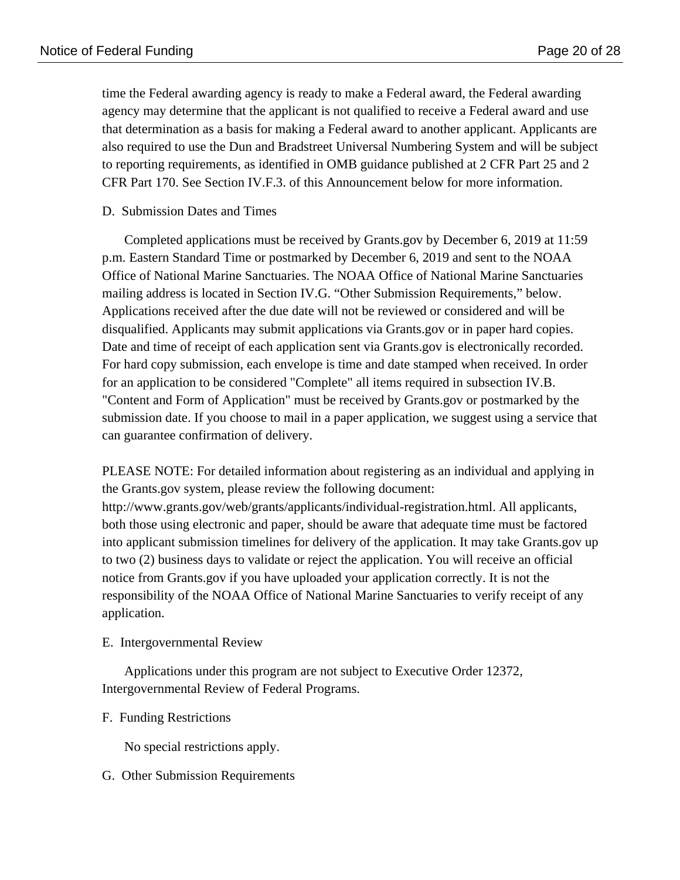time the Federal awarding agency is ready to make a Federal award, the Federal awarding agency may determine that the applicant is not qualified to receive a Federal award and use that determination as a basis for making a Federal award to another applicant. Applicants are also required to use the Dun and Bradstreet Universal Numbering System and will be subject to reporting requirements, as identified in OMB guidance published at 2 CFR Part 25 and 2 CFR Part 170. See Section IV.F.3. of this Announcement below for more information.

# D. Submission Dates and Times

Completed applications must be received by Grants.gov by December 6, 2019 at 11:59 p.m. Eastern Standard Time or postmarked by December 6, 2019 and sent to the NOAA Office of National Marine Sanctuaries. The NOAA Office of National Marine Sanctuaries mailing address is located in Section IV.G. "Other Submission Requirements," below. Applications received after the due date will not be reviewed or considered and will be disqualified. Applicants may submit applications via Grants.gov or in paper hard copies. Date and time of receipt of each application sent via Grants.gov is electronically recorded. For hard copy submission, each envelope is time and date stamped when received. In order for an application to be considered "Complete" all items required in subsection IV.B. "Content and Form of Application" must be received by Grants.gov or postmarked by the submission date. If you choose to mail in a paper application, we suggest using a service that can guarantee confirmation of delivery.

PLEASE NOTE: For detailed information about registering as an individual and applying in the Grants.gov system, please review the following document: http://www.grants.gov/web/grants/applicants/individual-registration.html. All applicants, both those using electronic and paper, should be aware that adequate time must be factored into applicant submission timelines for delivery of the application. It may take Grants.gov up to two (2) business days to validate or reject the application. You will receive an official notice from Grants.gov if you have uploaded your application correctly. It is not the responsibility of the NOAA Office of National Marine Sanctuaries to verify receipt of any application.

E. Intergovernmental Review

Applications under this program are not subject to Executive Order 12372, Intergovernmental Review of Federal Programs.

### F. Funding Restrictions

No special restrictions apply.

G. Other Submission Requirements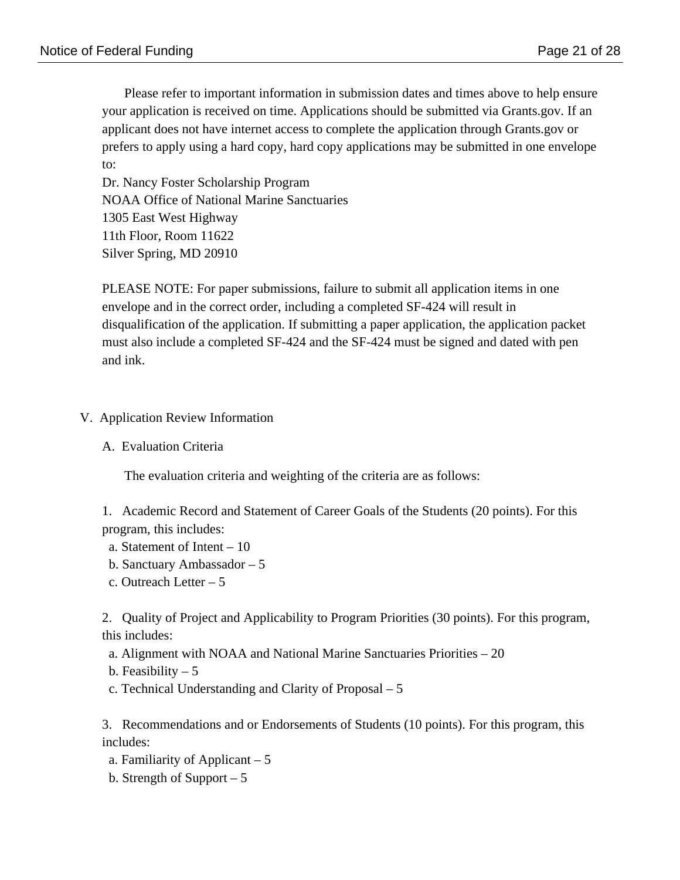Please refer to important information in submission dates and times above to help ensure your application is received on time. Applications should be submitted via Grants.gov. If an applicant does not have internet access to complete the application through Grants.gov or prefers to apply using a hard copy, hard copy applications may be submitted in one envelope to:

Dr. Nancy Foster Scholarship Program NOAA Office of National Marine Sanctuaries 1305 East West Highway 11th Floor, Room 11622 Silver Spring, MD 20910

PLEASE NOTE: For paper submissions, failure to submit all application items in one envelope and in the correct order, including a completed SF-424 will result in disqualification of the application. If submitting a paper application, the application packet must also include a completed SF-424 and the SF-424 must be signed and dated with pen and ink.

- V. Application Review Information
	- A. Evaluation Criteria

The evaluation criteria and weighting of the criteria are as follows:

1. Academic Record and Statement of Career Goals of the Students (20 points). For this program, this includes:

- a. Statement of Intent 10
- b. Sanctuary Ambassador 5
- c. Outreach Letter 5

2. Quality of Project and Applicability to Program Priorities (30 points). For this program, this includes:

- a. Alignment with NOAA and National Marine Sanctuaries Priorities 20
- b. Feasibility  $-5$
- c. Technical Understanding and Clarity of Proposal 5

3. Recommendations and or Endorsements of Students (10 points). For this program, this includes:

- a. Familiarity of Applicant 5
- b. Strength of Support 5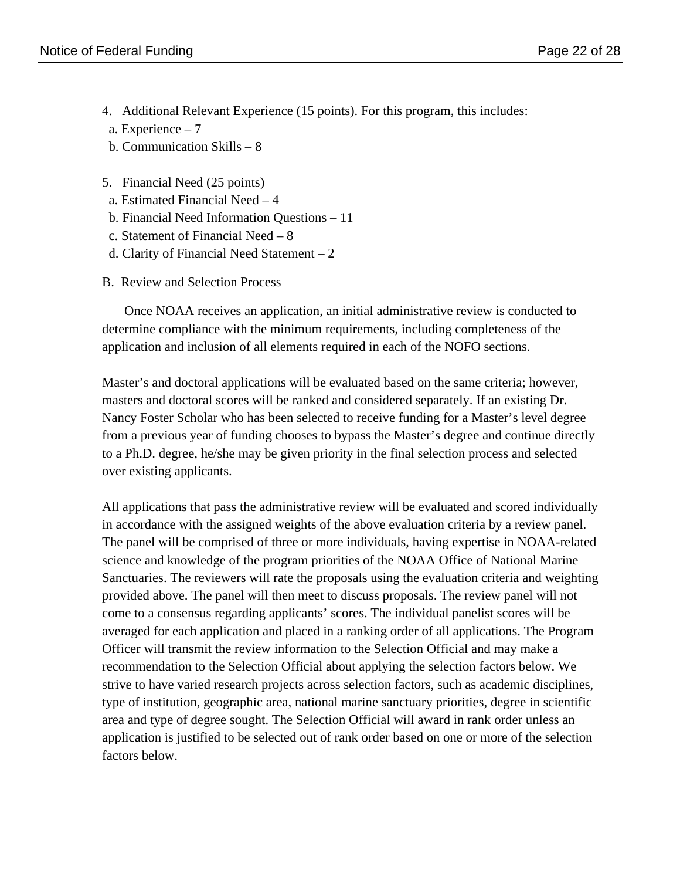- 4. Additional Relevant Experience (15 points). For this program, this includes:
- a. Experience 7
- b. Communication Skills 8
- 5. Financial Need (25 points)
- a. Estimated Financial Need 4
- b. Financial Need Information Questions 11
- c. Statement of Financial Need 8
- d. Clarity of Financial Need Statement 2
- B. Review and Selection Process

Once NOAA receives an application, an initial administrative review is conducted to determine compliance with the minimum requirements, including completeness of the application and inclusion of all elements required in each of the NOFO sections.

Master's and doctoral applications will be evaluated based on the same criteria; however, masters and doctoral scores will be ranked and considered separately. If an existing Dr. Nancy Foster Scholar who has been selected to receive funding for a Master's level degree from a previous year of funding chooses to bypass the Master's degree and continue directly to a Ph.D. degree, he/she may be given priority in the final selection process and selected over existing applicants.

All applications that pass the administrative review will be evaluated and scored individually in accordance with the assigned weights of the above evaluation criteria by a review panel. The panel will be comprised of three or more individuals, having expertise in NOAA-related science and knowledge of the program priorities of the NOAA Office of National Marine Sanctuaries. The reviewers will rate the proposals using the evaluation criteria and weighting provided above. The panel will then meet to discuss proposals. The review panel will not come to a consensus regarding applicants' scores. The individual panelist scores will be averaged for each application and placed in a ranking order of all applications. The Program Officer will transmit the review information to the Selection Official and may make a recommendation to the Selection Official about applying the selection factors below. We strive to have varied research projects across selection factors, such as academic disciplines, type of institution, geographic area, national marine sanctuary priorities, degree in scientific area and type of degree sought. The Selection Official will award in rank order unless an application is justified to be selected out of rank order based on one or more of the selection factors below.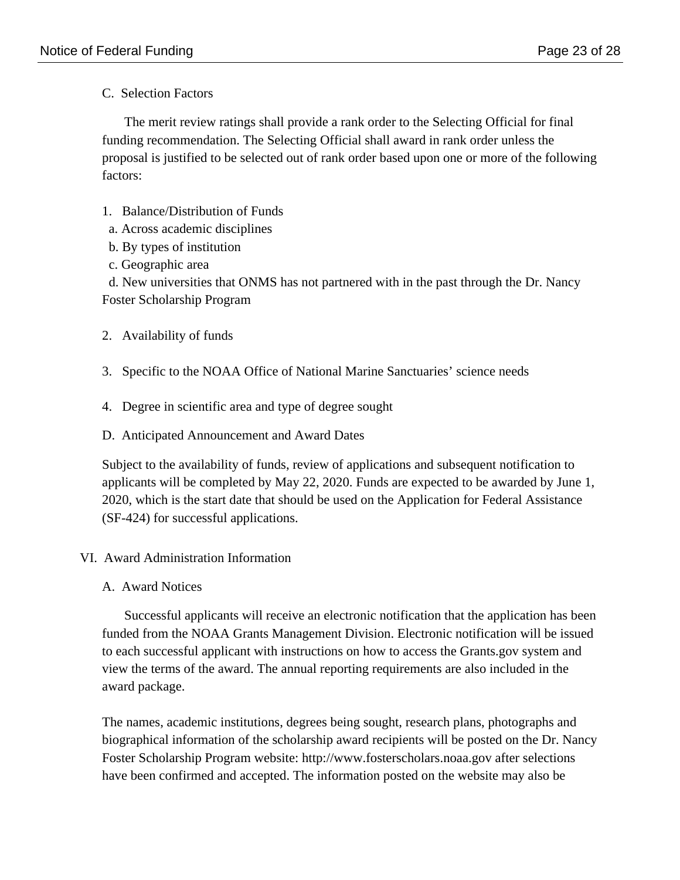C. Selection Factors

The merit review ratings shall provide a rank order to the Selecting Official for final funding recommendation. The Selecting Official shall award in rank order unless the proposal is justified to be selected out of rank order based upon one or more of the following factors:

- 1. Balance/Distribution of Funds
- a. Across academic disciplines
- b. By types of institution
- c. Geographic area

 d. New universities that ONMS has not partnered with in the past through the Dr. Nancy Foster Scholarship Program

- 2. Availability of funds
- 3. Specific to the NOAA Office of National Marine Sanctuaries' science needs
- 4. Degree in scientific area and type of degree sought
- D. Anticipated Announcement and Award Dates

Subject to the availability of funds, review of applications and subsequent notification to applicants will be completed by May 22, 2020. Funds are expected to be awarded by June 1, 2020, which is the start date that should be used on the Application for Federal Assistance (SF-424) for successful applications.

# VI. Award Administration Information

A. Award Notices

Successful applicants will receive an electronic notification that the application has been funded from the NOAA Grants Management Division. Electronic notification will be issued to each successful applicant with instructions on how to access the Grants.gov system and view the terms of the award. The annual reporting requirements are also included in the award package.

The names, academic institutions, degrees being sought, research plans, photographs and biographical information of the scholarship award recipients will be posted on the Dr. Nancy Foster Scholarship Program website: http://www.fosterscholars.noaa.gov after selections have been confirmed and accepted. The information posted on the website may also be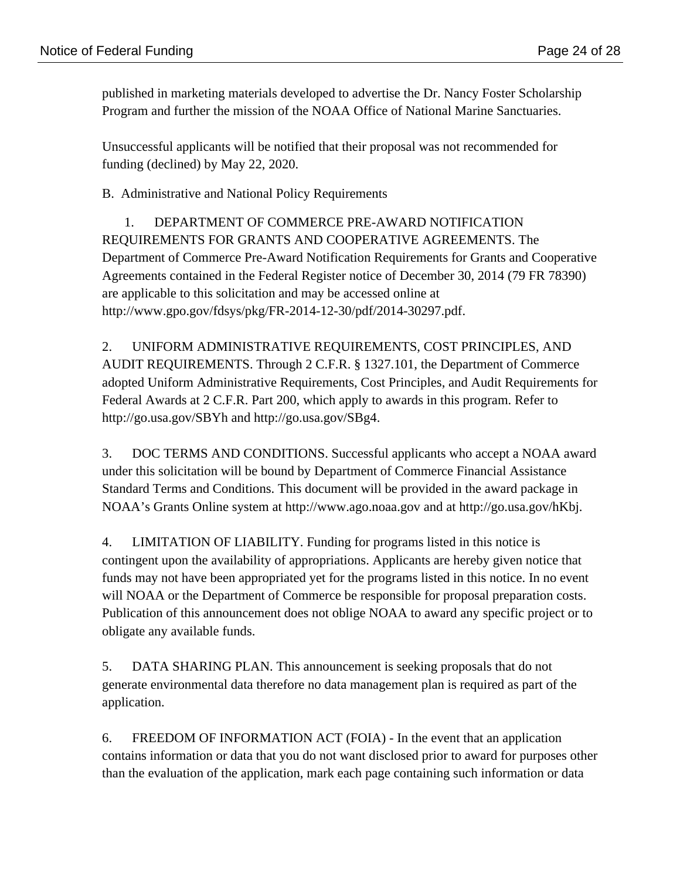published in marketing materials developed to advertise the Dr. Nancy Foster Scholarship Program and further the mission of the NOAA Office of National Marine Sanctuaries.

Unsuccessful applicants will be notified that their proposal was not recommended for funding (declined) by May 22, 2020.

B. Administrative and National Policy Requirements

1. DEPARTMENT OF COMMERCE PRE-AWARD NOTIFICATION REQUIREMENTS FOR GRANTS AND COOPERATIVE AGREEMENTS. The Department of Commerce Pre-Award Notification Requirements for Grants and Cooperative Agreements contained in the Federal Register notice of December 30, 2014 (79 FR 78390) are applicable to this solicitation and may be accessed online at http://www.gpo.gov/fdsys/pkg/FR-2014-12-30/pdf/2014-30297.pdf.

2. UNIFORM ADMINISTRATIVE REQUIREMENTS, COST PRINCIPLES, AND AUDIT REQUIREMENTS. Through 2 C.F.R. § 1327.101, the Department of Commerce adopted Uniform Administrative Requirements, Cost Principles, and Audit Requirements for Federal Awards at 2 C.F.R. Part 200, which apply to awards in this program. Refer to http://go.usa.gov/SBYh and http://go.usa.gov/SBg4.

3. DOC TERMS AND CONDITIONS. Successful applicants who accept a NOAA award under this solicitation will be bound by Department of Commerce Financial Assistance Standard Terms and Conditions. This document will be provided in the award package in NOAA's Grants Online system at http://www.ago.noaa.gov and at http://go.usa.gov/hKbj.

4. LIMITATION OF LIABILITY. Funding for programs listed in this notice is contingent upon the availability of appropriations. Applicants are hereby given notice that funds may not have been appropriated yet for the programs listed in this notice. In no event will NOAA or the Department of Commerce be responsible for proposal preparation costs. Publication of this announcement does not oblige NOAA to award any specific project or to obligate any available funds.

5. DATA SHARING PLAN. This announcement is seeking proposals that do not generate environmental data therefore no data management plan is required as part of the application.

6. FREEDOM OF INFORMATION ACT (FOIA) - In the event that an application contains information or data that you do not want disclosed prior to award for purposes other than the evaluation of the application, mark each page containing such information or data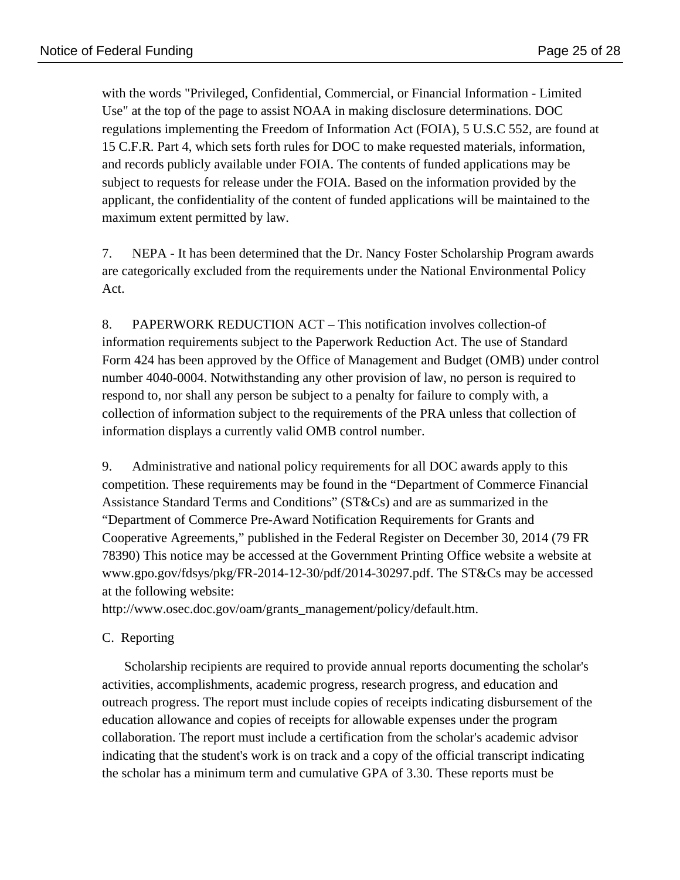with the words "Privileged, Confidential, Commercial, or Financial Information - Limited Use" at the top of the page to assist NOAA in making disclosure determinations. DOC regulations implementing the Freedom of Information Act (FOIA), 5 U.S.C 552, are found at 15 C.F.R. Part 4, which sets forth rules for DOC to make requested materials, information, and records publicly available under FOIA. The contents of funded applications may be subject to requests for release under the FOIA. Based on the information provided by the applicant, the confidentiality of the content of funded applications will be maintained to the maximum extent permitted by law.

7. NEPA - It has been determined that the Dr. Nancy Foster Scholarship Program awards are categorically excluded from the requirements under the National Environmental Policy Act.

8. PAPERWORK REDUCTION ACT – This notification involves collection-of information requirements subject to the Paperwork Reduction Act. The use of Standard Form 424 has been approved by the Office of Management and Budget (OMB) under control number 4040-0004. Notwithstanding any other provision of law, no person is required to respond to, nor shall any person be subject to a penalty for failure to comply with, a collection of information subject to the requirements of the PRA unless that collection of information displays a currently valid OMB control number.

9. Administrative and national policy requirements for all DOC awards apply to this competition. These requirements may be found in the "Department of Commerce Financial Assistance Standard Terms and Conditions" (ST&Cs) and are as summarized in the "Department of Commerce Pre-Award Notification Requirements for Grants and Cooperative Agreements," published in the Federal Register on December 30, 2014 (79 FR 78390) This notice may be accessed at the Government Printing Office website a website at www.gpo.gov/fdsys/pkg/FR-2014-12-30/pdf/2014-30297.pdf. The ST&Cs may be accessed at the following website:

http://www.osec.doc.gov/oam/grants\_management/policy/default.htm.

# C. Reporting

Scholarship recipients are required to provide annual reports documenting the scholar's activities, accomplishments, academic progress, research progress, and education and outreach progress. The report must include copies of receipts indicating disbursement of the education allowance and copies of receipts for allowable expenses under the program collaboration. The report must include a certification from the scholar's academic advisor indicating that the student's work is on track and a copy of the official transcript indicating the scholar has a minimum term and cumulative GPA of 3.30. These reports must be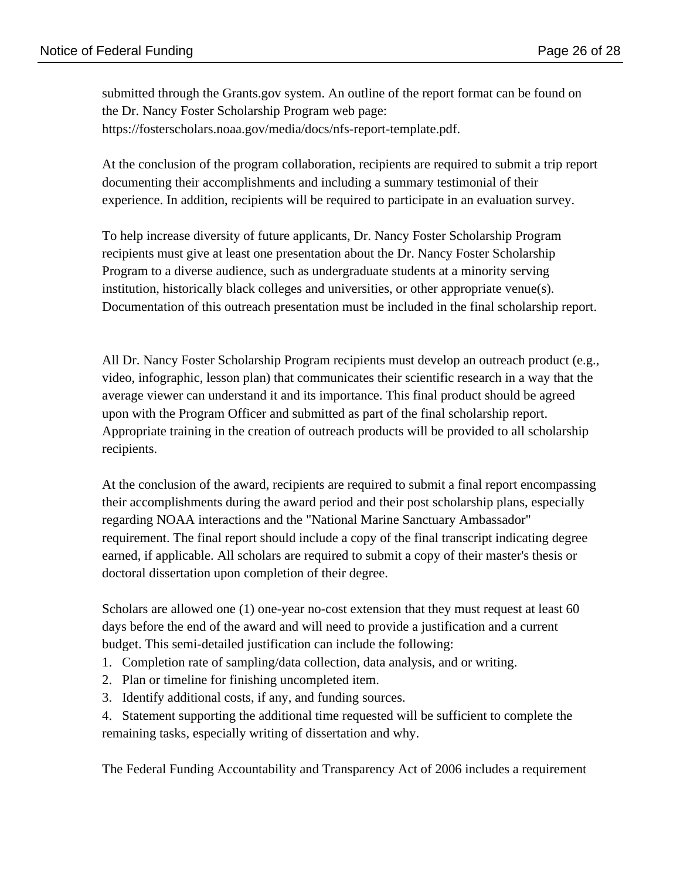submitted through the Grants.gov system. An outline of the report format can be found on the Dr. Nancy Foster Scholarship Program web page: https://fosterscholars.noaa.gov/media/docs/nfs-report-template.pdf.

At the conclusion of the program collaboration, recipients are required to submit a trip report documenting their accomplishments and including a summary testimonial of their experience. In addition, recipients will be required to participate in an evaluation survey.

To help increase diversity of future applicants, Dr. Nancy Foster Scholarship Program recipients must give at least one presentation about the Dr. Nancy Foster Scholarship Program to a diverse audience, such as undergraduate students at a minority serving institution, historically black colleges and universities, or other appropriate venue(s). Documentation of this outreach presentation must be included in the final scholarship report.

All Dr. Nancy Foster Scholarship Program recipients must develop an outreach product (e.g., video, infographic, lesson plan) that communicates their scientific research in a way that the average viewer can understand it and its importance. This final product should be agreed upon with the Program Officer and submitted as part of the final scholarship report. Appropriate training in the creation of outreach products will be provided to all scholarship recipients.

At the conclusion of the award, recipients are required to submit a final report encompassing their accomplishments during the award period and their post scholarship plans, especially regarding NOAA interactions and the "National Marine Sanctuary Ambassador" requirement. The final report should include a copy of the final transcript indicating degree earned, if applicable. All scholars are required to submit a copy of their master's thesis or doctoral dissertation upon completion of their degree.

Scholars are allowed one (1) one-year no-cost extension that they must request at least 60 days before the end of the award and will need to provide a justification and a current budget. This semi-detailed justification can include the following:

- 1. Completion rate of sampling/data collection, data analysis, and or writing.
- 2. Plan or timeline for finishing uncompleted item.
- 3. Identify additional costs, if any, and funding sources.

4. Statement supporting the additional time requested will be sufficient to complete the remaining tasks, especially writing of dissertation and why.

The Federal Funding Accountability and Transparency Act of 2006 includes a requirement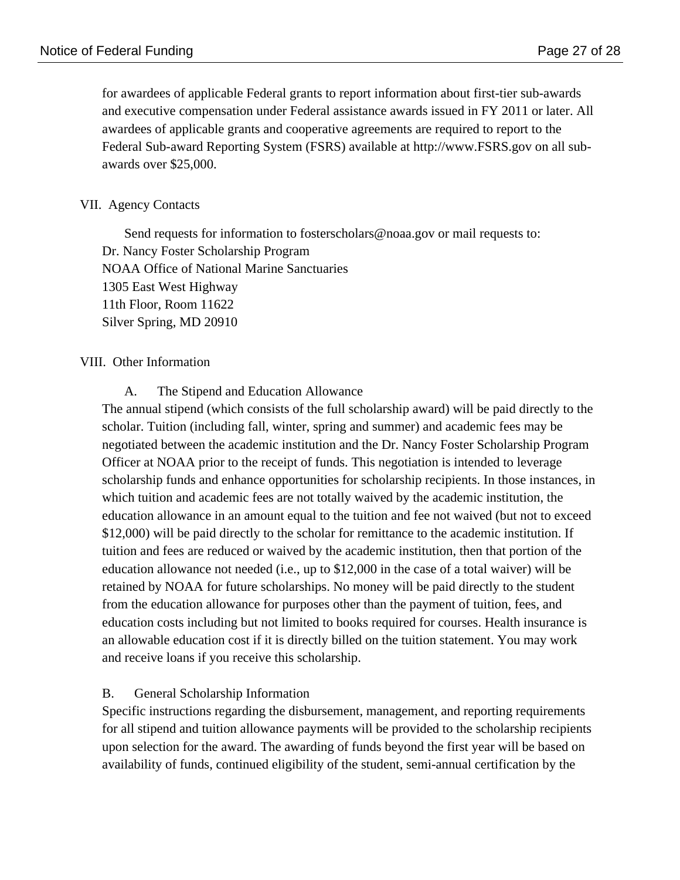for awardees of applicable Federal grants to report information about first-tier sub-awards and executive compensation under Federal assistance awards issued in FY 2011 or later. All awardees of applicable grants and cooperative agreements are required to report to the Federal Sub-award Reporting System (FSRS) available at http://www.FSRS.gov on all subawards over \$25,000.

# VII. Agency Contacts

Send requests for information to fosterscholars@noaa.gov or mail requests to: Dr. Nancy Foster Scholarship Program NOAA Office of National Marine Sanctuaries 1305 East West Highway 11th Floor, Room 11622 Silver Spring, MD 20910

# VIII. Other Information

A. The Stipend and Education Allowance

The annual stipend (which consists of the full scholarship award) will be paid directly to the scholar. Tuition (including fall, winter, spring and summer) and academic fees may be negotiated between the academic institution and the Dr. Nancy Foster Scholarship Program Officer at NOAA prior to the receipt of funds. This negotiation is intended to leverage scholarship funds and enhance opportunities for scholarship recipients. In those instances, in which tuition and academic fees are not totally waived by the academic institution, the education allowance in an amount equal to the tuition and fee not waived (but not to exceed \$12,000) will be paid directly to the scholar for remittance to the academic institution. If tuition and fees are reduced or waived by the academic institution, then that portion of the education allowance not needed (i.e., up to \$12,000 in the case of a total waiver) will be retained by NOAA for future scholarships. No money will be paid directly to the student from the education allowance for purposes other than the payment of tuition, fees, and education costs including but not limited to books required for courses. Health insurance is an allowable education cost if it is directly billed on the tuition statement. You may work and receive loans if you receive this scholarship.

# B. General Scholarship Information

Specific instructions regarding the disbursement, management, and reporting requirements for all stipend and tuition allowance payments will be provided to the scholarship recipients upon selection for the award. The awarding of funds beyond the first year will be based on availability of funds, continued eligibility of the student, semi-annual certification by the